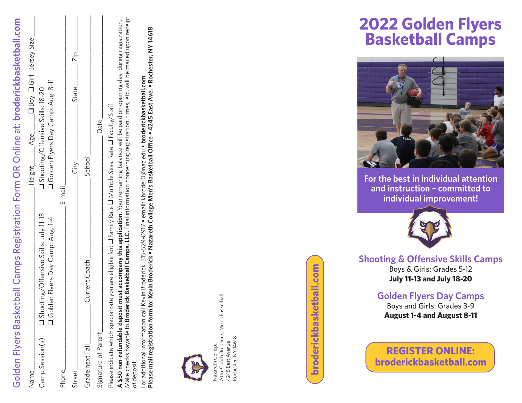

Attn: Coach Broderick, Men's Basketball Nazareth College<br>Attn: Coach Broderick, Men's Basketball<br>4245 East Avenue<br>Rochester, NY 14618 Attn: Coach Broderick, Men's Basketball Rochester, NY 14618 Rochester, NY 14618 4245 East Avenue Nazareth College 4245 East Avenue Nazareth Colleg

broderickbasketball.com **broderickbasketball.com** (broderickbasketball.com

## **2022 Golden Flyers Basketball Camps 2019 Golden Flyers Basketball Camps**



**For the best in individual attention** For the best in individual attention **and instruction – committed to** and instruction – committed to **individual improvement!** individual improvement!



**Shooting & Offensive Skills Camps Shooting & Offensive Skills Camps** Boys & Girls: Grades 5-12 Boys & Girls: Grades 3-12 **July 11-13 and July 18-20 July 22 – 25**

> **Golden Flyers Day Camps** Boys and Girls: Grades 3-9 **August 1-4 and August 8-11 August 5 – 9** and **August 12 – 16 Golden Flyers Day Camps**

**REGISTER ONLINE: broderickbasketball.com Save \$100 on camp fee!** Register **by June 1.**